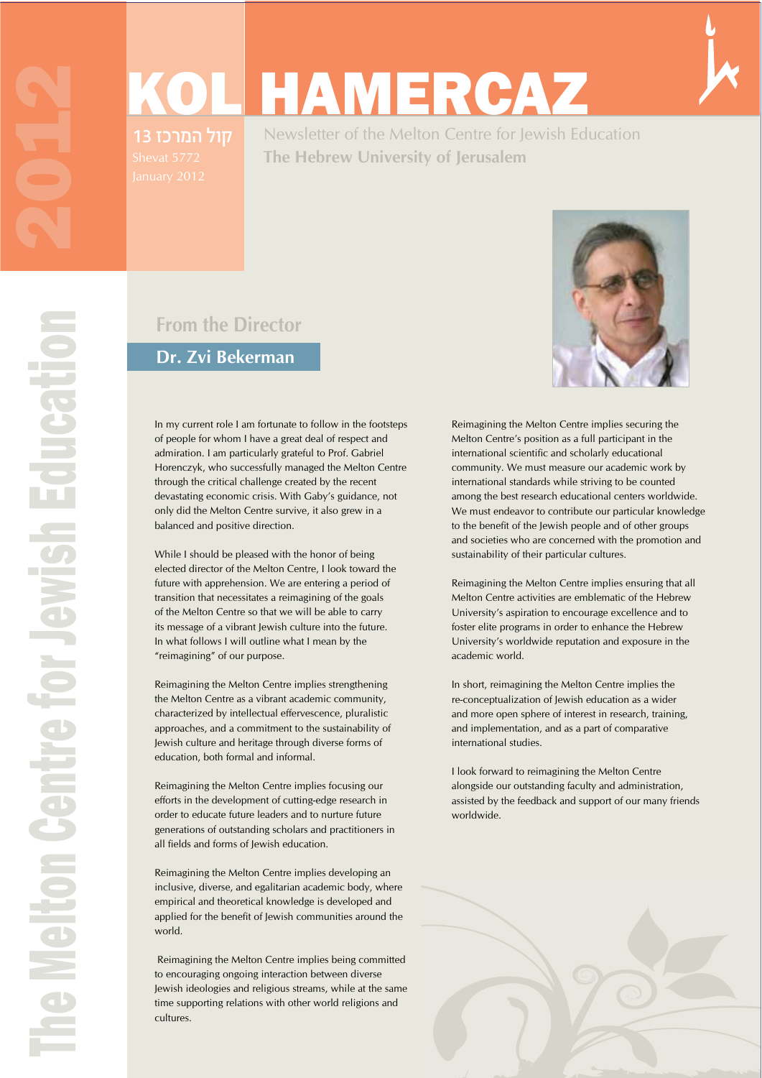# KOL HAMERCAZ

13 קול המרכז

Newsletter of the Melton Centre for Jewish Education **The Hebrew University of Jerusalem**

## **From the Director**

#### **Dr. Zvi Bekerman**

In my current role I am fortunate to follow in the footsteps of people for whom I have a great deal of respect and admiration. I am particularly grateful to Prof. Gabriel Horenczyk, who successfully managed the Melton Centre through the critical challenge created by the recent devastating economic crisis. With Gaby's guidance, not only did the Melton Centre survive, it also grew in a balanced and positive direction.

While I should be pleased with the honor of being elected director of the Melton Centre, I look toward the future with apprehension. We are entering a period of transition that necessitates a reimagining of the goals of the Melton Centre so that we will be able to carry its message of a vibrant Jewish culture into the future. In what follows I will outline what I mean by the "reimagining" of our purpose.

Reimagining the Melton Centre implies strengthening the Melton Centre as a vibrant academic community, characterized by intellectual effervescence, pluralistic approaches, and a commitment to the sustainability of Jewish culture and heritage through diverse forms of education, both formal and informal.

Reimagining the Melton Centre implies focusing our efforts in the development of cutting-edge research in order to educate future leaders and to nurture future generations of outstanding scholars and practitioners in all fields and forms of Jewish education.

Reimagining the Melton Centre implies developing an inclusive, diverse, and egalitarian academic body, where empirical and theoretical knowledge is developed and applied for the benefit of Jewish communities around the world.

 Reimagining the Melton Centre implies being committed to encouraging ongoing interaction between diverse Jewish ideologies and religious streams, while at the same time supporting relations with other world religions and cultures.



Reimagining the Melton Centre implies securing the Melton Centre's position as a full participant in the international scientific and scholarly educational community. We must measure our academic work by international standards while striving to be counted among the best research educational centers worldwide. We must endeavor to contribute our particular knowledge to the benefit of the Jewish people and of other groups and societies who are concerned with the promotion and sustainability of their particular cultures.

Reimagining the Melton Centre implies ensuring that all Melton Centre activities are emblematic of the Hebrew University's aspiration to encourage excellence and to foster elite programs in order to enhance the Hebrew University's worldwide reputation and exposure in the academic world.

In short, reimagining the Melton Centre implies the re-conceptualization of Jewish education as a wider and more open sphere of interest in research, training, and implementation, and as a part of comparative international studies.

I look forward to reimagining the Melton Centre alongside our outstanding faculty and administration, assisted by the feedback and support of our many friends worldwide.

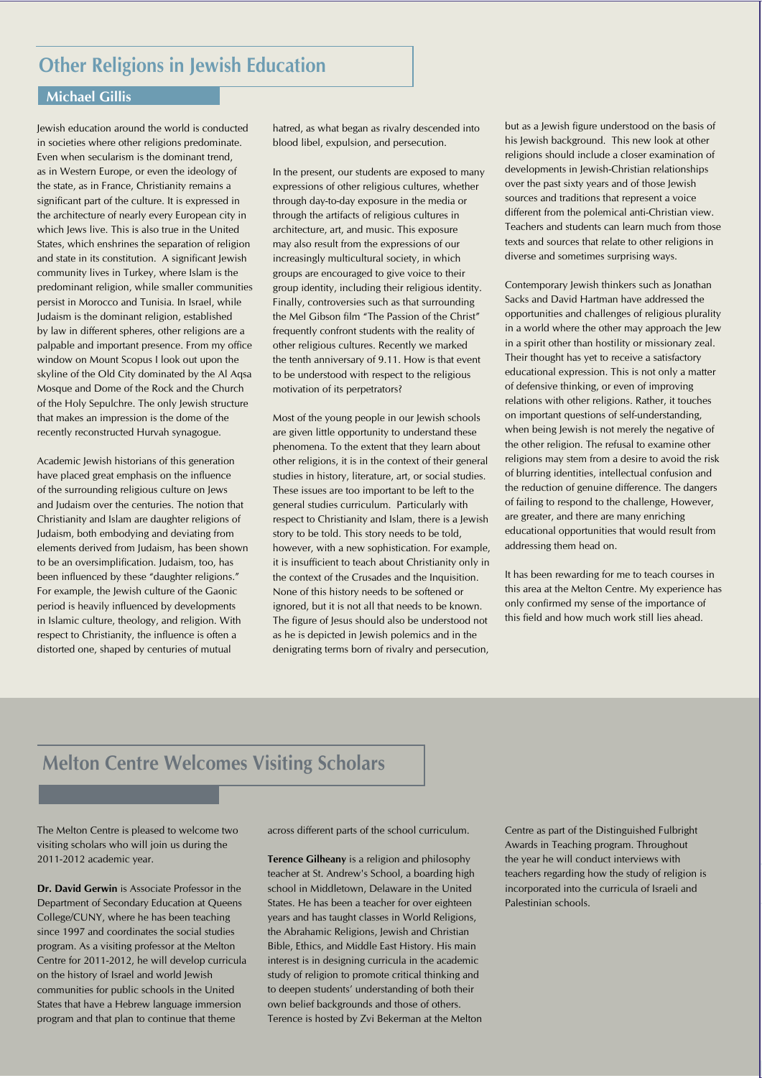#### **Michael Gillis**

Jewish education around the world is conducted in societies where other religions predominate. Even when secularism is the dominant trend, as in Western Europe, or even the ideology of the state, as in France, Christianity remains a significant part of the culture. It is expressed in the architecture of nearly every European city in which Jews live. This is also true in the United States, which enshrines the separation of religion and state in its constitution. A significant Jewish community lives in Turkey, where Islam is the predominant religion, while smaller communities persist in Morocco and Tunisia. In Israel, while Judaism is the dominant religion, established by law in different spheres, other religions are a palpable and important presence. From my office window on Mount Scopus I look out upon the skyline of the Old City dominated by the Al Aqsa Mosque and Dome of the Rock and the Church of the Holy Sepulchre. The only Jewish structure that makes an impression is the dome of the recently reconstructed Hurvah synagogue.

Academic Jewish historians of this generation have placed great emphasis on the influence of the surrounding religious culture on Jews and Judaism over the centuries. The notion that Christianity and Islam are daughter religions of Judaism, both embodying and deviating from elements derived from Judaism, has been shown to be an oversimplification. Judaism, too, has been influenced by these "daughter religions." For example, the Jewish culture of the Gaonic period is heavily influenced by developments in Islamic culture, theology, and religion. With respect to Christianity, the influence is often a distorted one, shaped by centuries of mutual

hatred, as what began as rivalry descended into blood libel, expulsion, and persecution.

In the present, our students are exposed to many expressions of other religious cultures, whether through day-to-day exposure in the media or through the artifacts of religious cultures in architecture, art, and music. This exposure may also result from the expressions of our increasingly multicultural society, in which groups are encouraged to give voice to their group identity, including their religious identity. Finally, controversies such as that surrounding the Mel Gibson film "The Passion of the Christ" frequently confront students with the reality of other religious cultures. Recently we marked the tenth anniversary of 9.11. How is that event to be understood with respect to the religious motivation of its perpetrators?

Most of the young people in our Jewish schools are given little opportunity to understand these phenomena. To the extent that they learn about other religions, it is in the context of their general studies in history, literature, art, or social studies. These issues are too important to be left to the general studies curriculum. Particularly with respect to Christianity and Islam, there is a Jewish story to be told. This story needs to be told, however, with a new sophistication. For example, it is insufficient to teach about Christianity only in the context of the Crusades and the Inquisition. None of this history needs to be softened or ignored, but it is not all that needs to be known. The figure of Jesus should also be understood not as he is depicted in Jewish polemics and in the denigrating terms born of rivalry and persecution,

but as a Jewish figure understood on the basis of his Jewish background. This new look at other religions should include a closer examination of developments in Jewish-Christian relationships over the past sixty years and of those Jewish sources and traditions that represent a voice different from the polemical anti-Christian view. Teachers and students can learn much from those texts and sources that relate to other religions in diverse and sometimes surprising ways.

Contemporary Jewish thinkers such as Jonathan Sacks and David Hartman have addressed the opportunities and challenges of religious plurality in a world where the other may approach the Jew in a spirit other than hostility or missionary zeal. Their thought has yet to receive a satisfactory educational expression. This is not only a matter of defensive thinking, or even of improving relations with other religions. Rather, it touches on important questions of self-understanding, when being Jewish is not merely the negative of the other religion. The refusal to examine other religions may stem from a desire to avoid the risk of blurring identities, intellectual confusion and the reduction of genuine difference. The dangers of failing to respond to the challenge, However, are greater, and there are many enriching educational opportunities that would result from addressing them head on.

It has been rewarding for me to teach courses in this area at the Melton Centre. My experience has only confirmed my sense of the importance of this field and how much work still lies ahead.

## **Melton Centre Welcomes Visiting Scholars**

The Melton Centre is pleased to welcome two visiting scholars who will join us during the 2011-2012 academic year.

Dr. David Gerwin is Associate Professor in the Department of Secondary Education at Queens College/CUNY, where he has been teaching since 1997 and coordinates the social studies program. As a visiting professor at the Melton Centre for 2011-2012, he will develop curricula on the history of Israel and world Jewish communities for public schools in the United States that have a Hebrew language immersion program and that plan to continue that theme

across different parts of the school curriculum.

**Terence Gilheany** is a religion and philosophy teacher at St. Andrew's School, a boarding high school in Middletown, Delaware in the United States. He has been a teacher for over eighteen years and has taught classes in World Religions, the Abrahamic Religions, Jewish and Christian Bible, Ethics, and Middle East History. His main interest is in designing curricula in the academic study of religion to promote critical thinking and to deepen students' understanding of both their own belief backgrounds and those of others. Terence is hosted by Zvi Bekerman at the Melton Centre as part of the Distinguished Fulbright Awards in Teaching program. Throughout the year he will conduct interviews with teachers regarding how the study of religion is incorporated into the curricula of Israeli and Palestinian schools.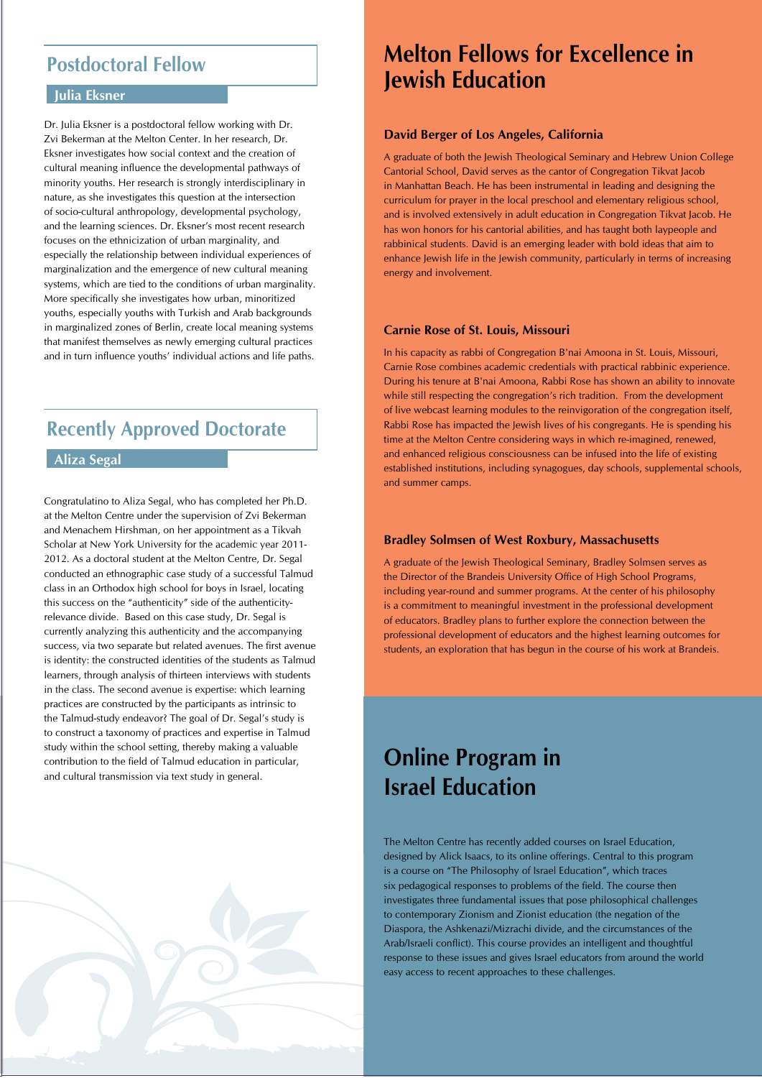## **Postdoctoral Fellow**

#### **Julia Eksner**

Dr. Julia Eksner is a postdoctoral fellow working with Dr. Zvi Bekerman at the Melton Center. In her research, Dr. Eksner investigates how social context and the creation of cultural meaning influence the developmental pathways of minority youths. Her research is strongly interdisciplinary in nature, as she investigates this question at the intersection of socio-cultural anthropology, developmental psychology, and the learning sciences. Dr. Eksner's most recent research focuses on the ethnicization of urban marginality, and especially the relationship between individual experiences of marginalization and the emergence of new cultural meaning systems, which are tied to the conditions of urban marginality. More specifically she investigates how urban, minoritized youths, especially youths with Turkish and Arab backgrounds in marginalized zones of Berlin, create local meaning systems that manifest themselves as newly emerging cultural practices and in turn influence youths' individual actions and life paths.

## **Recently Approved Doctorate**

#### **Aliza Segal**

Congratulatino to Aliza Segal, who has completed her Ph.D. at the Melton Centre under the supervision of Zvi Bekerman and Menachem Hirshman, on her appointment as a Tikvah Scholar at New York University for the academic year 2011- 2012. As a doctoral student at the Melton Centre, Dr. Segal conducted an ethnographic case study of a successful Talmud class in an Orthodox high school for boys in Israel, locating this success on the "authenticity" side of the authenticityrelevance divide. Based on this case study, Dr. Segal is currently analyzing this authenticity and the accompanying success, via two separate but related avenues. The first avenue is identity: the constructed identities of the students as Talmud learners, through analysis of thirteen interviews with students in the class. The second avenue is expertise: which learning practices are constructed by the participants as intrinsic to the Talmud-study endeavor? The goal of Dr. Segal's study is to construct a taxonomy of practices and expertise in Talmud study within the school setting, thereby making a valuable contribution to the field of Talmud education in particular, and cultural transmission via text study in general.

# **Melton Fellows for Excellence in Jewish Education**

#### **David Berger of Los Angeles, California**

A graduate of both the Jewish Theological Seminary and Hebrew Union College Cantorial School, David serves as the cantor of Congregation Tikvat Jacob in Manhattan Beach. He has been instrumental in leading and designing the curriculum for prayer in the local preschool and elementary religious school, and is involved extensively in adult education in Congregation Tikvat Jacob. He has won honors for his cantorial abilities, and has taught both laypeople and rabbinical students. David is an emerging leader with bold ideas that aim to enhance Jewish life in the Jewish community, particularly in terms of increasing energy and involvement.

#### **Carnie Rose of St. Louis, Missouri**

In his capacity as rabbi of Congregation B'nai Amoona in St. Louis, Missouri, Carnie Rose combines academic credentials with practical rabbinic experience. During his tenure at B'nai Amoona, Rabbi Rose has shown an ability to innovate while still respecting the congregation's rich tradition. From the development of live webcast learning modules to the reinvigoration of the congregation itself, Rabbi Rose has impacted the Jewish lives of his congregants. He is spending his time at the Melton Centre considering ways in which re-imagined, renewed, and enhanced religious consciousness can be infused into the life of existing established institutions, including synagogues, day schools, supplemental schools, and summer camps.

#### **Bradley Solmsen of West Roxbury, Massachusetts**

A graduate of the Jewish Theological Seminary, Bradley Solmsen serves as the Director of the Brandeis University Office of High School Programs, including year-round and summer programs. At the center of his philosophy is a commitment to meaningful investment in the professional development of educators. Bradley plans to further explore the connection between the professional development of educators and the highest learning outcomes for students, an exploration that has begun in the course of his work at Brandeis.

## **Online Program in Israel Education**

The Melton Centre has recently added courses on Israel Education, designed by Alick Isaacs, to its online offerings. Central to this program is a course on "The Philosophy of Israel Education", which traces six pedagogical responses to problems of the field. The course then investigates three fundamental issues that pose philosophical challenges to contemporary Zionism and Zionist education (the negation of the Diaspora, the Ashkenazi/Mizrachi divide, and the circumstances of the Arab/Israeli conflict). This course provides an intelligent and thoughtful response to these issues and gives Israel educators from around the world easy access to recent approaches to these challenges.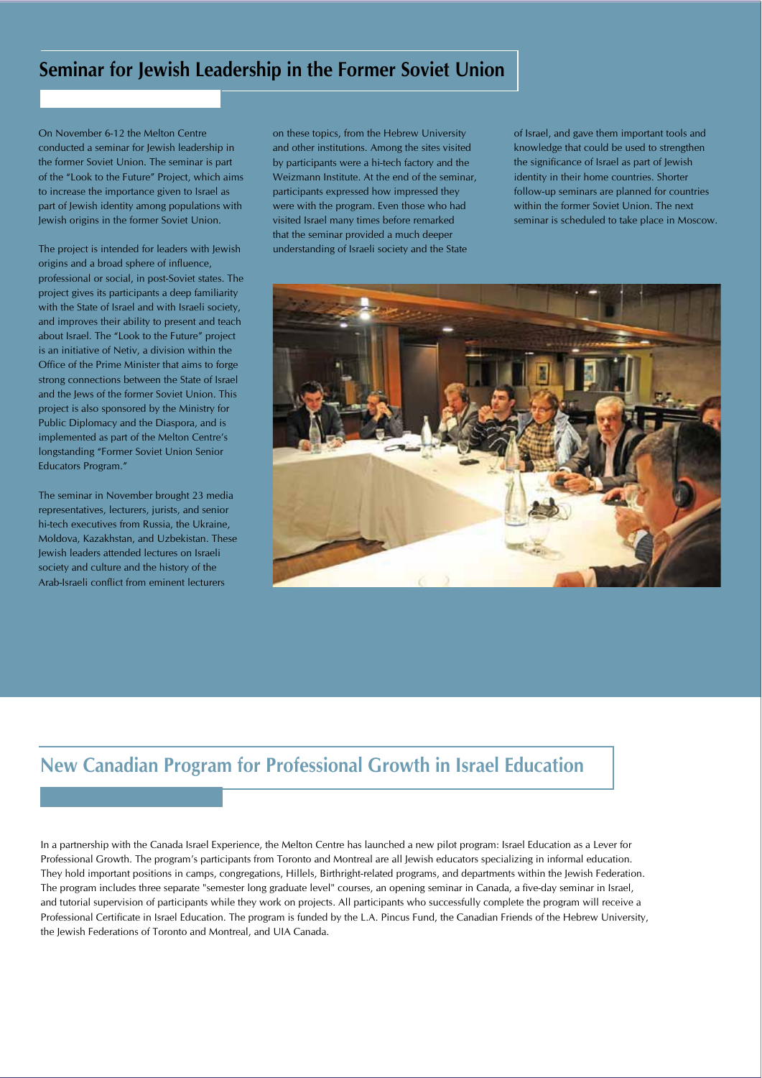### **Seminar for Jewish Leadership in the Former Soviet Union**

On November 6-12 the Melton Centre conducted a seminar for Jewish leadership in the former Soviet Union. The seminar is part of the "Look to the Future" Project, which aims to increase the importance given to Israel as part of Jewish identity among populations with Jewish origins in the former Soviet Union.

The project is intended for leaders with Jewish origins and a broad sphere of influence, professional or social, in post-Soviet states. The project gives its participants a deep familiarity with the State of Israel and with Israeli society, and improves their ability to present and teach about Israel. The "Look to the Future" project is an initiative of Netiv, a division within the Office of the Prime Minister that aims to forge strong connections between the State of Israel and the Jews of the former Soviet Union. This project is also sponsored by the Ministry for Public Diplomacy and the Diaspora, and is implemented as part of the Melton Centre's longstanding "Former Soviet Union Senior Educators Program."

The seminar in November brought 23 media representatives, lecturers, jurists, and senior hi-tech executives from Russia, the Ukraine, Moldova, Kazakhstan, and Uzbekistan. These Jewish leaders attended lectures on Israeli society and culture and the history of the Arab-Israeli conflict from eminent lecturers

on these topics, from the Hebrew University and other institutions. Among the sites visited by participants were a hi-tech factory and the Weizmann Institute. At the end of the seminar, participants expressed how impressed they were with the program. Even those who had visited Israel many times before remarked that the seminar provided a much deeper understanding of Israeli society and the State

of Israel, and gave them important tools and knowledge that could be used to strengthen the significance of Israel as part of Jewish identity in their home countries. Shorter follow-up seminars are planned for countries within the former Soviet Union. The next seminar is scheduled to take place in Moscow.



#### **New Canadian Program for Professional Growth in Israel Education**

In a partnership with the Canada Israel Experience, the Melton Centre has launched a new pilot program: Israel Education as a Lever for Professional Growth. The program's participants from Toronto and Montreal are all Jewish educators specializing in informal education. They hold important positions in camps, congregations, Hillels, Birthright-related programs, and departments within the Jewish Federation. The program includes three separate "semester long graduate level" courses, an opening seminar in Canada, a five-day seminar in Israel, and tutorial supervision of participants while they work on projects. All participants who successfully complete the program will receive a Professional Certificate in Israel Education. The program is funded by the L.A. Pincus Fund, the Canadian Friends of the Hebrew University, the Jewish Federations of Toronto and Montreal, and UIA Canada.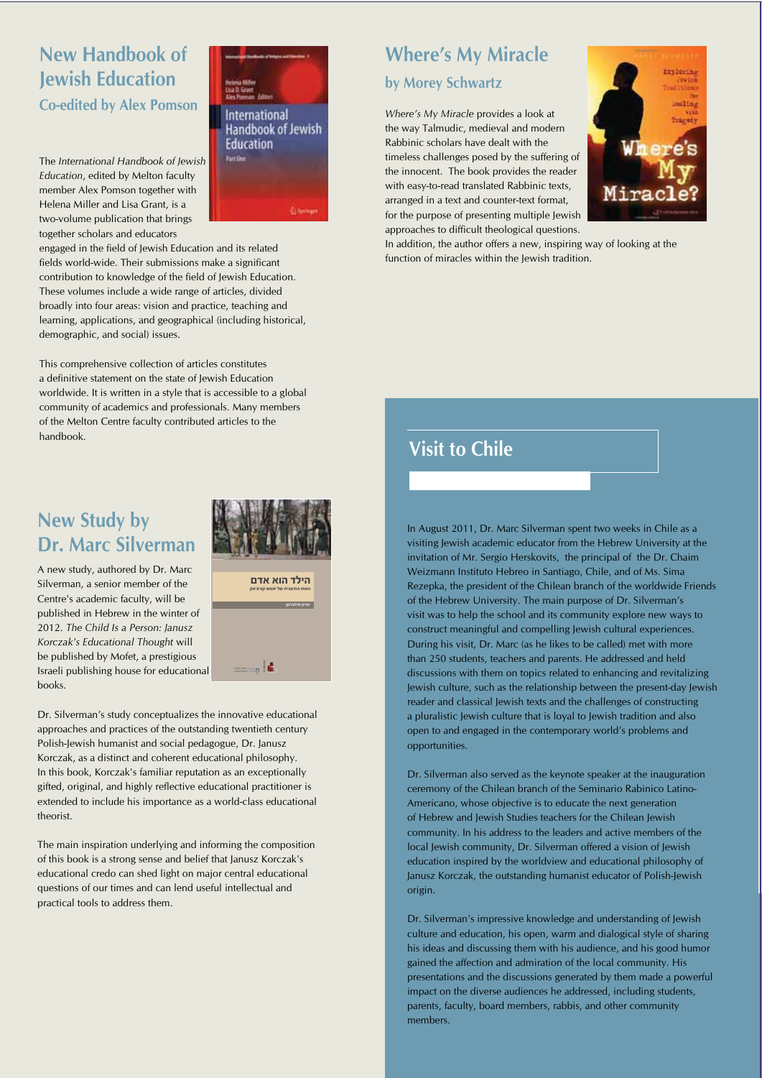## **New Handbook of Jewish Education Co-edited by Alex Pomson**

The *International Handbook of Jewish Education*, edited by Melton faculty member Alex Pomson together with Helena Miller and Lisa Grant, is a two-volume publication that brings together scholars and educators



engaged in the field of Jewish Education and its related fields world-wide. Their submissions make a significant contribution to knowledge of the field of Jewish Education. These volumes include a wide range of articles, divided broadly into four areas: vision and practice, teaching and learning, applications, and geographical (including historical, demographic, and social) issues.

This comprehensive collection of articles constitutes a definitive statement on the state of Jewish Education worldwide. It is written in a style that is accessible to a global community of academics and professionals. Many members of the Melton Centre faculty contributed articles to the handbook.

## **New Study by Dr. Marc Silverman**

A new study, authored by Dr. Marc Silverman, a senior member of the Centre's academic faculty, will be published in Hebrew in the winter of 2012. The Child Is a Person: Janusz Korczak's Educational Thought will be published by Mofet, a prestigious Israeli publishing house for educational books. **D**<br>Dai<br>De



 $\frac{1}{2}$ để Đán Đán Đặc Đặc Đại Điện Đặc Đ

#### Dr. Silverman's study conceptualizes the innovative educational approaches and practices of the outstanding twentieth century Polish-Jewish humanist and social pedagogue, Dr. Janusz Korczak, as a distinct and coherent educational philosophy. In this book, Korczak's familiar reputation as an exceptionally gifted, original, and highly reflective educational practitioner is extended to include his importance as a world-class educational theorist.

The main inspiration underlying and informing the composition of this book is a strong sense and belief that Janusz Korczak's educational credo can shed light on major central educational questions of our times and can lend useful intellectual and practical tools to address them.

## **Where's My Miracle by Morey Schwartz**

*Where's My Miracle* provides a look at the way Talmudic, medieval and modern Rabbinic scholars have dealt with the timeless challenges posed by the suffering of the innocent. The book provides the reader with easy-to-read translated Rabbinic texts, arranged in a text and counter-text format, for the purpose of presenting multiple Jewish approaches to difficult theological questions.



In addition, the author offers a new, inspiring way of looking at the function of miracles within the Jewish tradition.

## **Visit to Chile**

In August 2011, Dr. Marc Silverman spent two weeks in Chile as a in a visiting Jewish academic educator from the Hebrew University at the **Example:** invitation of Mr. Sergio Herskovits, the principal of the Dr. Chaim Weizmann Instituto Hebreo in Santiago, Chile, and of Ms. Sima **Example 2 Rezepka, the president of the Chilean branch of the worldwide Friends** of the Hebrew University. The main purpose of Dr. Silverman's **EXECUTE:** visit was to help the school and its community explore new ways to  $\blacksquare$  construct meaningful and compelling Jewish cultural experiences. During his visit, Dr. Marc (as he likes to be called) met with more than 250 students, teachers and parents. He addressed and held discussions with them on topics related to enhancing and revitalizing Jewish culture, such as the relationship between the present-day Jewish reader and classical Jewish texts and the challenges of constructing a pluralistic Jewish culture that is loyal to Jewish tradition and also open to and engaged in the contemporary world's problems and opportunities. ďĞ ĐĥĞĜ ČĘ ĦĕĔĝĕĜĚđĐĐ đĦĥĤđĚ ĘĞđ ĦĕėđĜĕēĐ đĦđĎĐ ĘĞ ĤģēĚčđ ĦĕĤčĞĐ ĦđĤĠĝč  $\blacksquare$  .  $\blacksquare$   $\blacksquare$   $\blacksquare$   $\blacksquare$   $\blacksquare$   $\blacksquare$   $\blacksquare$   $\blacksquare$   $\blacksquare$   $\blacksquare$   $\blacksquare$   $\blacksquare$   $\blacksquare$   $\blacksquare$   $\blacksquare$   $\blacksquare$   $\blacksquare$   $\blacksquare$   $\blacksquare$   $\blacksquare$   $\blacksquare$   $\blacksquare$   $\blacksquare$   $\blacksquare$   $\blacksquare$   $\blacksquare$   $\blacksquare$   $\blacksquare$   $\blacksquare$   $\blacksquare$   $\$ řeđeđađ čerđeđađa čerđeđađa čerđeđađa čerđeđađa čerđeđađa čerđeđa čerđeđa čerdede a ĐĕĕĥĞ, Đĕĕĥ, ĐĕĕĤ, ĐĕĕĤ, ĐĕĕĤ, ĐE Greative Literature Literature Literature Literature Literature Literature .đĜĜĚĒ ĕĜč ęĕĕďđĐĕ ęĕĕėđĜĕē-ęĕĕĦđčĤĦ ęĕĚĤĒ Ęĥ ĐĕĎđĘđČďĕČĐđ ĐĕĤđĔĝĕĐĐđ

> Dr. Silverman also served as the keynote speaker at the inauguration ceremony of the Chilean branch of the Seminario Rabinico Latino-Americano, whose objective is to educate the next generation of Hebrew and Jewish Studies teachers for the Chilean Jewish community. In his address to the leaders and active members of the local Jewish community, Dr. Silverman offered a vision of Jewish education inspired by the worldview and educational philosophy of Janusz Korczak, the outstanding humanist educator of Polish-Jewish origin.

Dr. Silverman's impressive knowledge and understanding of Jewish culture and education, his open, warm and dialogical style of sharing his ideas and discussing them with his audience, and his good humor gained the affection and admiration of the local community. His presentations and the discussions generated by them made a powerful impact on the diverse audiences he addressed, including students, parents, faculty, board members, rabbis, and other community members.